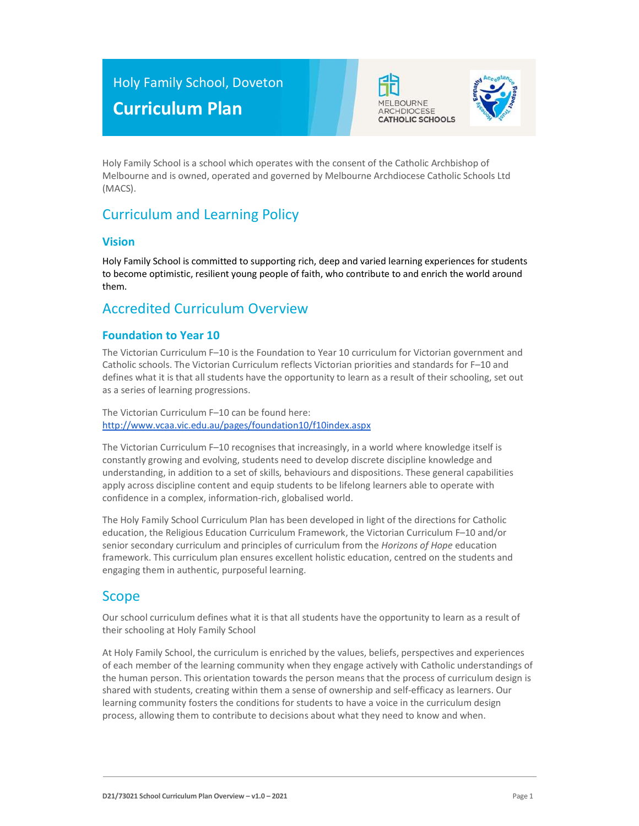# Holy Family School, Doveton Curriculum Plan





Holy Family School is a school which operates with the consent of the Catholic Archbishop of Melbourne and is owned, operated and governed by Melbourne Archdiocese Catholic Schools Ltd (MACS).

# Curriculum and Learning Policy

#### Vision

Holy Family School is committed to supporting rich, deep and varied learning experiences for students to become optimistic, resilient young people of faith, who contribute to and enrich the world around them.

## Accredited Curriculum Overview

#### Foundation to Year 10

The Victorian Curriculum F–10 is the Foundation to Year 10 curriculum for Victorian government and Catholic schools. The Victorian Curriculum reflects Victorian priorities and standards for F–10 and defines what it is that all students have the opportunity to learn as a result of their schooling, set out as a series of learning progressions.

The Victorian Curriculum F–10 can be found here: http://www.vcaa.vic.edu.au/pages/foundation10/f10index.aspx

The Victorian Curriculum F–10 recognises that increasingly, in a world where knowledge itself is constantly growing and evolving, students need to develop discrete discipline knowledge and understanding, in addition to a set of skills, behaviours and dispositions. These general capabilities apply across discipline content and equip students to be lifelong learners able to operate with confidence in a complex, information-rich, globalised world.

The Holy Family School Curriculum Plan has been developed in light of the directions for Catholic education, the Religious Education Curriculum Framework, the Victorian Curriculum F–10 and/or senior secondary curriculum and principles of curriculum from the Horizons of Hope education framework. This curriculum plan ensures excellent holistic education, centred on the students and engaging them in authentic, purposeful learning.

## Scope

Our school curriculum defines what it is that all students have the opportunity to learn as a result of their schooling at Holy Family School

At Holy Family School, the curriculum is enriched by the values, beliefs, perspectives and experiences of each member of the learning community when they engage actively with Catholic understandings of the human person. This orientation towards the person means that the process of curriculum design is shared with students, creating within them a sense of ownership and self-efficacy as learners. Our learning community fosters the conditions for students to have a voice in the curriculum design process, allowing them to contribute to decisions about what they need to know and when.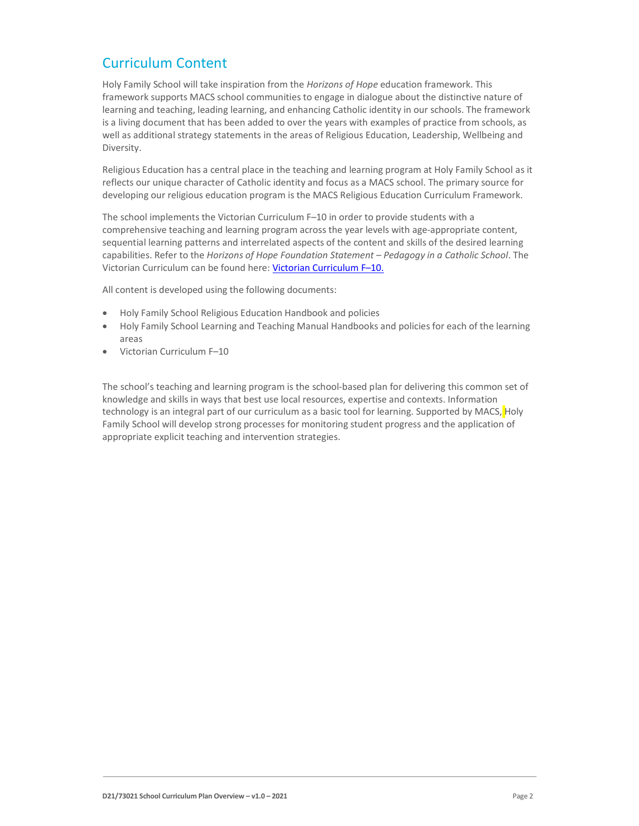## Curriculum Content

Holy Family School will take inspiration from the Horizons of Hope education framework. This framework supports MACS school communities to engage in dialogue about the distinctive nature of learning and teaching, leading learning, and enhancing Catholic identity in our schools. The framework is a living document that has been added to over the years with examples of practice from schools, as well as additional strategy statements in the areas of Religious Education, Leadership, Wellbeing and Diversity.

Religious Education has a central place in the teaching and learning program at Holy Family School as it reflects our unique character of Catholic identity and focus as a MACS school. The primary source for developing our religious education program is the MACS Religious Education Curriculum Framework.

The school implements the Victorian Curriculum F–10 in order to provide students with a comprehensive teaching and learning program across the year levels with age-appropriate content, sequential learning patterns and interrelated aspects of the content and skills of the desired learning capabilities. Refer to the Horizons of Hope Foundation Statement – Pedagogy in a Catholic School. The Victorian Curriculum can be found here: Victorian Curriculum F–10.

All content is developed using the following documents:

- Holy Family School Religious Education Handbook and policies
- Holy Family School Learning and Teaching Manual Handbooks and policies for each of the learning areas
- Victorian Curriculum F–10

The school's teaching and learning program is the school-based plan for delivering this common set of knowledge and skills in ways that best use local resources, expertise and contexts. Information technology is an integral part of our curriculum as a basic tool for learning. Supported by MACS, Holy Family School will develop strong processes for monitoring student progress and the application of appropriate explicit teaching and intervention strategies.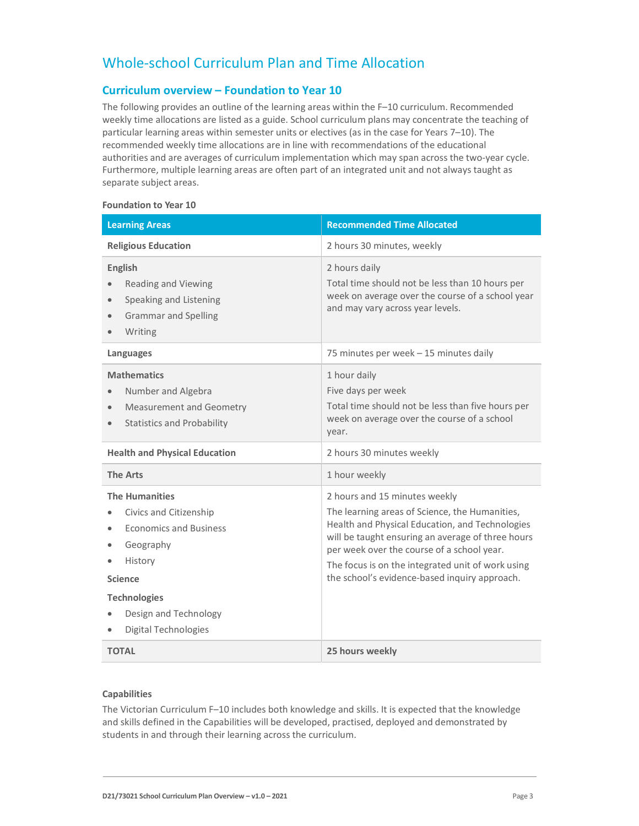## Whole-school Curriculum Plan and Time Allocation

#### Curriculum overview – Foundation to Year 10

The following provides an outline of the learning areas within the F–10 curriculum. Recommended weekly time allocations are listed as a guide. School curriculum plans may concentrate the teaching of particular learning areas within semester units or electives (as in the case for Years 7–10). The recommended weekly time allocations are in line with recommendations of the educational authorities and are averages of curriculum implementation which may span across the two-year cycle. Furthermore, multiple learning areas are often part of an integrated unit and not always taught as separate subject areas.

#### Foundation to Year 10

| <b>Learning Areas</b>                                                                                                                                                                              | <b>Recommended Time Allocated</b>                                                                                                                                                                                                                                                                                                           |
|----------------------------------------------------------------------------------------------------------------------------------------------------------------------------------------------------|---------------------------------------------------------------------------------------------------------------------------------------------------------------------------------------------------------------------------------------------------------------------------------------------------------------------------------------------|
| <b>Religious Education</b>                                                                                                                                                                         | 2 hours 30 minutes, weekly                                                                                                                                                                                                                                                                                                                  |
| <b>English</b><br>Reading and Viewing<br>Speaking and Listening<br><b>Grammar and Spelling</b><br>$\bullet$<br>Writing                                                                             | 2 hours daily<br>Total time should not be less than 10 hours per<br>week on average over the course of a school year<br>and may vary across year levels.                                                                                                                                                                                    |
| Languages                                                                                                                                                                                          | 75 minutes per week - 15 minutes daily                                                                                                                                                                                                                                                                                                      |
| <b>Mathematics</b><br>Number and Algebra<br>Measurement and Geometry<br>$\bullet$<br><b>Statistics and Probability</b><br>$\bullet$                                                                | 1 hour daily<br>Five days per week<br>Total time should not be less than five hours per<br>week on average over the course of a school<br>year.                                                                                                                                                                                             |
| <b>Health and Physical Education</b>                                                                                                                                                               | 2 hours 30 minutes weekly                                                                                                                                                                                                                                                                                                                   |
| <b>The Arts</b>                                                                                                                                                                                    | 1 hour weekly                                                                                                                                                                                                                                                                                                                               |
| <b>The Humanities</b><br>Civics and Citizenship<br><b>Economics and Business</b><br>Geography<br>History<br><b>Science</b><br><b>Technologies</b><br>Design and Technology<br>Digital Technologies | 2 hours and 15 minutes weekly<br>The learning areas of Science, the Humanities,<br>Health and Physical Education, and Technologies<br>will be taught ensuring an average of three hours<br>per week over the course of a school year.<br>The focus is on the integrated unit of work using<br>the school's evidence-based inquiry approach. |
| <b>TOTAL</b>                                                                                                                                                                                       | 25 hours weekly                                                                                                                                                                                                                                                                                                                             |

#### Capabilities

The Victorian Curriculum F–10 includes both knowledge and skills. It is expected that the knowledge and skills defined in the Capabilities will be developed, practised, deployed and demonstrated by students in and through their learning across the curriculum.